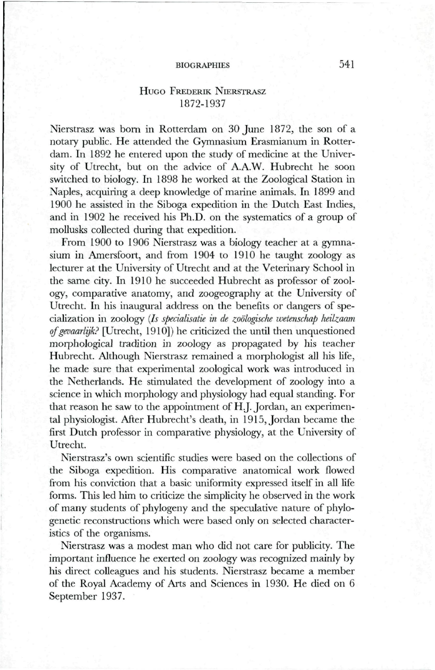## BIOGRAPHIES 541

# HUGO FREDERIK NIERSTRASZ 1872-1937

Nierstrasz was bom in Rotterdam on 30 June 1872, the son of a notary public. He attended the Gymnasium Erasmianum in Rotterdam. In 1892 he entered upon the study of medicine at the University of Utrecht, but on the advice of A.A.W. Hubrecht he soon switched to biology. In 1898 he worked at the Zoological Station in Naples, acquiring a deep knowledge of marine animals. In 1899 and 1900 he assisted in the Siboga expedition in the Dutch East Indies, and in 1902 he received his Ph.D. on the systematics of a group of mollusks collected during that expedition.

From 1900 to 1906 Nierstrasz was a biology teacher at a gymnasium in Amersfoort, and from 1904 to 1910 he taught zoology as lecturer at the University of Utrecht and at the Veterinary School in the same city. In 1910 he succeeded Hubrecht as professor of zoology, comparative anatomy, and zoogeography at the University of Utrecht. In his inaugural address on the benefits or dangers of specialization in zoology *{Is specialisatie in de zoologische wetenschap heilzaam of gevaarlijk?* [Utrecht, 1910]) he criticized the until then unquestioned morphological tradition in zoology as propagated by his teacher Hubrecht. Although Nierstrasz remained a morphologist all his life, he made sure that experimental zoological work was introduced in the Netherlands. He stimulated the development of zoology into a science in which morphology and physiology had equal standing. For that reason he saw to the appointment of H.J. Jordan, an experimental physiologist. After Hubrecht's death, in 1915, Jordan became the first Dutch professor in comparative physiology, at the University of Utrecht.

Nierstrasz's own scientific studies were based on the collections of the Siboga expedition. His comparative anatomical work flowed from his conviction that a basic uniformity expressed itself in all life forms. This led him to criticize the simplicity he observed in the work of many students of phylogeny and the speculative nature of phylogenetic reconstructions which were based only on selected characteristics of the organisms.

Nierstrasz was a modest man who did not care for publicity. The important influence he exerted on zoology was recognized mainly by his direct colleagues and his students. Nierstrasz became a member of the Royal Academy of Arts and Sciences in 1930. He died on 6 September 1937.